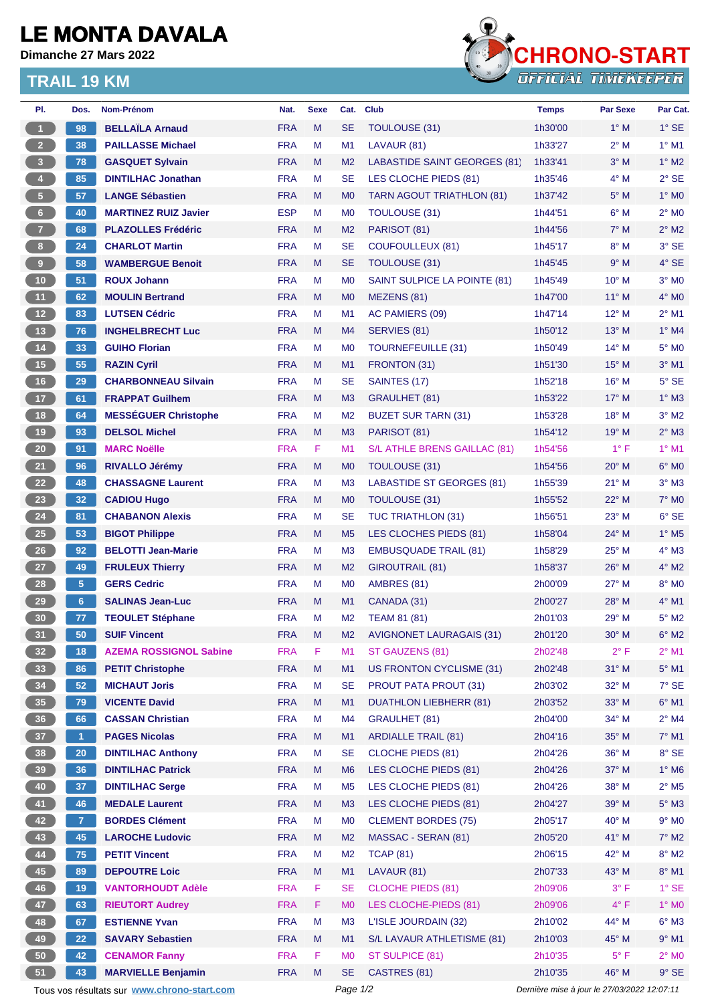## **LE MONTA DAVALA**

**Dimanche 27 Mars 2022**

## **TRAIL 19 KM**



| PI.                                         | Dos.           | Nom-Prénom                    | Nat.       | <b>Sexe</b> | Cat.           | <b>Club</b>                      | <b>Temps</b>                                | <b>Par Sexe</b> | Par Cat.                   |
|---------------------------------------------|----------------|-------------------------------|------------|-------------|----------------|----------------------------------|---------------------------------------------|-----------------|----------------------------|
| $\mathbf{1}$                                | 98             | <b>BELLAÏLA Arnaud</b>        | <b>FRA</b> | M           | <b>SE</b>      | TOULOUSE (31)                    | 1h30'00                                     | $1^\circ$ M     | $1^\circ$ SE               |
| $\overline{2}$                              | 38             | <b>PAILLASSE Michael</b>      | <b>FRA</b> | M           | M1             | LAVAUR (81)                      | 1h33'27                                     | $2^{\circ}$ M   | $1^\circ$ M1               |
| $\overline{\mathbf{3}}$                     | 78             | <b>GASQUET Sylvain</b>        | <b>FRA</b> | M           | M <sub>2</sub> | LABASTIDE SAINT GEORGES (81)     | 1h33'41                                     | $3^\circ$ M     | $1^\circ$ M2               |
| $\overline{\mathbf{4}}$                     | 85             | <b>DINTILHAC Jonathan</b>     | <b>FRA</b> | M           | SE             | LES CLOCHE PIEDS (81)            | 1h35'46                                     | $4^\circ$ M     | $2°$ SE                    |
| $\sqrt{5}$                                  | 57             | <b>LANGE Sébastien</b>        | <b>FRA</b> | M           | M <sub>0</sub> | TARN AGOUT TRIATHLON (81)        | 1h37'42                                     | $5^\circ$ M     | $1^\circ$ MO               |
| $6\phantom{.}6$                             | 40             | <b>MARTINEZ RUIZ Javier</b>   | <b>ESP</b> | м           | M <sub>0</sub> | <b>TOULOUSE (31)</b>             | 1h44'51                                     | $6^\circ$ M     | $2^{\circ}$ MO             |
| $\overline{7}$                              | 68             | <b>PLAZOLLES Frédéric</b>     | <b>FRA</b> | M           | M <sub>2</sub> | PARISOT (81)                     | 1h44'56                                     | $7^\circ$ M     | $2^{\circ}$ M2             |
| 8 <sup>1</sup>                              | 24             | <b>CHARLOT Martin</b>         | <b>FRA</b> | M           | SE             | <b>COUFOULLEUX (81)</b>          | 1h45'17                                     | $8^\circ$ M     | $3°$ SE                    |
| $\overline{9}$                              | 58             | <b>WAMBERGUE Benoit</b>       | <b>FRA</b> | M           | SE             | <b>TOULOUSE (31)</b>             | 1h45'45                                     | 9° M            | $4°$ SE                    |
| 10                                          | 51             | <b>ROUX Johann</b>            | <b>FRA</b> | M           | M <sub>0</sub> | SAINT SULPICE LA POINTE (81)     | 1h45'49                                     | 10° M           | $3°$ MO                    |
| 11                                          | 62             | <b>MOULIN Bertrand</b>        | <b>FRA</b> | M           | M <sub>0</sub> | MEZENS (81)                      | 1h47'00                                     | $11^{\circ}$ M  | $4^\circ$ MO               |
| 12                                          | 83             | <b>LUTSEN Cédric</b>          | <b>FRA</b> | M           | M <sub>1</sub> | AC PAMIERS (09)                  | 1h47'14                                     | 12° M           | $2^{\circ}$ M1             |
| 13                                          | 76             | <b>INGHELBRECHT Luc</b>       | <b>FRA</b> | M           | M4             | SERVIES (81)                     | 1h50'12                                     | $13^{\circ}$ M  | $1^\circ$ M4               |
| $14$                                        | 33             | <b>GUIHO Florian</b>          | <b>FRA</b> | M           | M <sub>0</sub> | <b>TOURNEFEUILLE (31)</b>        | 1h50'49                                     | $14^{\circ}$ M  | $5^\circ$ MO               |
| 15                                          | 55             | <b>RAZIN Cyril</b>            | <b>FRA</b> | M           | M1             | FRONTON (31)                     | 1h51'30                                     | $15^{\circ}$ M  | $3°$ M1                    |
| 16                                          | 29             | <b>CHARBONNEAU Silvain</b>    | <b>FRA</b> | M           | <b>SE</b>      | SAINTES (17)                     | 1h52'18                                     | 16° M           | $5^\circ$ SE               |
| 17                                          | 61             | <b>FRAPPAT Guilhem</b>        | <b>FRA</b> | M           | M <sub>3</sub> | <b>GRAULHET (81)</b>             | 1h53'22                                     | $17^\circ$ M    | $1^\circ$ M3               |
| 18                                          | 64             | <b>MESSÉGUER Christophe</b>   | <b>FRA</b> | M           | M <sub>2</sub> | <b>BUZET SUR TARN (31)</b>       | 1h53'28                                     | 18° M           | $3°$ M2                    |
| 19                                          | 93             | <b>DELSOL Michel</b>          | <b>FRA</b> | M           | M <sub>3</sub> | PARISOT (81)                     | 1h54'12                                     | 19° M           | $2^{\circ}$ M3             |
| $20\phantom{a}$                             | 91             | <b>MARC Noëlle</b>            | <b>FRA</b> | F           | M1             | S/L ATHLE BRENS GAILLAC (81)     | 1h54'56                                     | $1^{\circ}$ F   | $1°$ M1                    |
| 21                                          | 96             | RIVALLO Jérémy                | <b>FRA</b> | M           | M <sub>0</sub> | TOULOUSE (31)                    | 1h54'56                                     | $20^\circ$ M    | $6°$ MO                    |
| 22                                          | 48             | <b>CHASSAGNE Laurent</b>      | <b>FRA</b> | M           | M <sub>3</sub> | <b>LABASTIDE ST GEORGES (81)</b> | 1h55'39                                     | $21°$ M         | $3°$ M $3$                 |
| 23                                          | 32             | <b>CADIOU Hugo</b>            | <b>FRA</b> | M           | M <sub>0</sub> | <b>TOULOUSE (31)</b>             | 1h55'52                                     | $22^{\circ}$ M  | <b>7° MO</b>               |
| 24                                          | 81             | <b>CHABANON Alexis</b>        | <b>FRA</b> | M           | SE             | <b>TUC TRIATHLON (31)</b>        | 1h56'51                                     | $23^{\circ}$ M  | $6°$ SE                    |
| <b>25</b>                                   | 53             | <b>BIGOT Philippe</b>         | <b>FRA</b> | M           | M <sub>5</sub> | LES CLOCHES PIEDS (81)           | 1h58'04                                     | 24° M           | $1^\circ$ M <sub>5</sub>   |
| 26                                          | 92             | <b>BELOTTI Jean-Marie</b>     | <b>FRA</b> | M           | M <sub>3</sub> | <b>EMBUSQUADE TRAIL (81)</b>     | 1h58'29                                     | 25° M           | 4° M3                      |
| 27                                          | 49             | <b>FRULEUX Thierry</b>        | <b>FRA</b> | M           | M <sub>2</sub> | GIROUTRAIL (81)                  | 1h58'37                                     | $26^{\circ}$ M  | $4^\circ$ M2               |
| 28                                          | 5 <sup>5</sup> | <b>GERS Cedric</b>            | <b>FRA</b> | M           | M <sub>0</sub> | AMBRES (81)                      | 2h00'09                                     | 27° M           | 8° MO                      |
| 29                                          | 6              | <b>SALINAS Jean-Luc</b>       | <b>FRA</b> | M           | M1             | CANADA (31)                      | 2h00'27                                     | 28° M           | 4° M1                      |
| 30                                          | 77             | <b>TEOULET Stéphane</b>       | <b>FRA</b> | M           | M <sub>2</sub> | <b>TEAM 81 (81)</b>              | 2h01'03                                     | $29^{\circ}$ M  | $5^\circ$ M2               |
| 31                                          | 50             | <b>SUIF Vincent</b>           | <b>FRA</b> | M           | M2             | <b>AVIGNONET LAURAGAIS (31)</b>  | 2h01'20                                     | 30° M           | $6°$ M2                    |
| 32 <sub>2</sub>                             | 18             | <b>AZEMA ROSSIGNOL Sabine</b> | <b>FRA</b> | F           | M1             | ST GAUZENS (81)                  | 2h02'48                                     | $2^{\circ}$ F   | $2^{\circ}$ M1             |
| 33                                          | 86             | <b>PETIT Christophe</b>       | <b>FRA</b> | M           | M1             | US FRONTON CYCLISME (31)         | 2h02'48                                     | 31° M           | $5^\circ$ M1               |
| 34                                          | 52             | <b>MICHAUT Joris</b>          | <b>FRA</b> | M           | SE             | <b>PROUT PATA PROUT (31)</b>     | 2h03'02                                     | 32° M           | $7°$ SE                    |
| 35                                          | 79             | <b>VICENTE David</b>          | <b>FRA</b> | M           | M1             | <b>DUATHLON LIEBHERR (81)</b>    | 2h03'52                                     | 33° M           | $6^\circ$ M1               |
| 36                                          | 66             | <b>CASSAN Christian</b>       | <b>FRA</b> | M           | M4             | <b>GRAULHET (81)</b>             | 2h04'00                                     | 34° M           | $2^{\circ}$ M4             |
| 37                                          | 1 <sub>1</sub> | <b>PAGES Nicolas</b>          | <b>FRA</b> | M           | M1             | <b>ARDIALLE TRAIL (81)</b>       | 2h04'16                                     | 35° M           | $7^\circ$ M1               |
| 38                                          | 20             | <b>DINTILHAC Anthony</b>      | <b>FRA</b> | M           | <b>SE</b>      | <b>CLOCHE PIEDS (81)</b>         | 2h04'26                                     | 36° M           | $8^{\circ}$ SE             |
| 39                                          | 36             | <b>DINTILHAC Patrick</b>      | <b>FRA</b> | M           | M <sub>6</sub> | LES CLOCHE PIEDS (81)            | 2h04'26                                     | 37° M           | $1^\circ$ M6               |
| 40                                          | 37             | <b>DINTILHAC Serge</b>        | <b>FRA</b> | M           | M <sub>5</sub> | LES CLOCHE PIEDS (81)            | 2h04'26                                     | 38° M           | $2^{\circ}$ M <sub>5</sub> |
| 41                                          | 46             | <b>MEDALE Laurent</b>         | <b>FRA</b> | M           | M <sub>3</sub> | LES CLOCHE PIEDS (81)            | 2h04'27                                     | 39° M           | $5^\circ$ M3               |
| 42                                          | 7 <sup>1</sup> | <b>BORDES Clément</b>         | <b>FRA</b> | М           | M <sub>0</sub> | <b>CLEMENT BORDES (75)</b>       | 2h05'17                                     | 40° M           | $9^\circ$ MO               |
| 43                                          | 45             | <b>LAROCHE Ludovic</b>        | <b>FRA</b> | M           | M <sub>2</sub> | MASSAC - SERAN (81)              | 2h05'20                                     | 41° M           | $7^\circ$ M2               |
| 44                                          | 75             | <b>PETIT Vincent</b>          | <b>FRA</b> | M           | M <sub>2</sub> | <b>TCAP (81)</b>                 | 2h06'15                                     | 42° M           | $8^\circ$ M2               |
| 45                                          | 89             | <b>DEPOUTRE Loic</b>          | <b>FRA</b> | M           | M1             | LAVAUR (81)                      | 2h07'33                                     | 43° M           | 8° M1                      |
| 46                                          | 19             | <b>VANTORHOUDT Adèle</b>      | <b>FRA</b> | F           | <b>SE</b>      | <b>CLOCHE PIEDS (81)</b>         | 2h09'06                                     | $3^{\circ}$ F   | $1^\circ$ SE               |
| 47                                          | 63             | <b>RIEUTORT Audrey</b>        | <b>FRA</b> | F           | M <sub>0</sub> | LES CLOCHE-PIEDS (81)            | 2h09'06                                     | $4^{\circ}$ F   | $1^\circ$ MO               |
| 48                                          | 67             | <b>ESTIENNE Yvan</b>          | <b>FRA</b> | M           | M <sub>3</sub> | L'ISLE JOURDAIN (32)             | 2h10'02                                     | 44° M           | $6^\circ$ M3               |
| 49                                          | 22             | <b>SAVARY Sebastien</b>       | <b>FRA</b> | M           | M1             | S/L LAVAUR ATHLETISME (81)       | 2h10'03                                     | 45° M           | $9°$ M1                    |
| 50                                          | 42             | <b>CENAMOR Fanny</b>          | <b>FRA</b> | F           | M <sub>0</sub> | ST SULPICE (81)                  | 2h10'35                                     | $5^{\circ}$ F   | $2^\circ$ MO               |
| 51                                          | 43             | <b>MARVIELLE Benjamin</b>     | <b>FRA</b> | M           | <b>SE</b>      | CASTRES (81)                     | 2h10'35                                     | 46° M           | $9°$ SE                    |
| Tous vos résultats sur www.chrono-start.com |                |                               |            | Page 1/2    |                |                                  | Dernière mise à jour le 27/03/2022 12:07:11 |                 |                            |